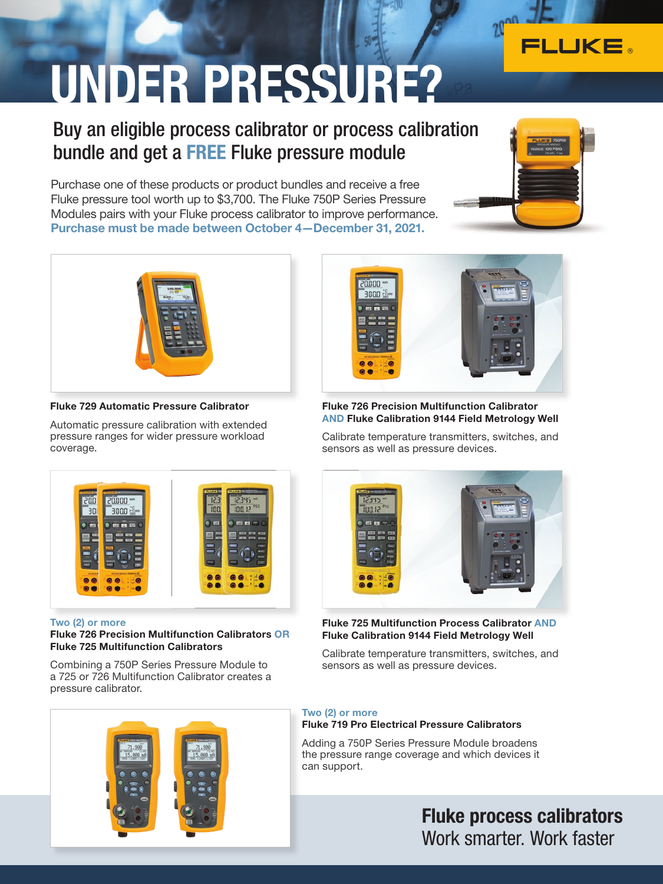# UNDER PRESSURE?

### Buy an eligible process calibrator or process calibration bundle and get a FREE Fluke pressure module

Purchase one of these products or product bundles and receive a free Fluke pressure tool worth up to \$3,700. The Fluke 750P Series Pressure Modules pairs with your Fluke process calibrator to improve performance. Purchase must be made between October 4—December 31, 2021.



FLUKE



#### Fluke 729 Automatic Pressure Calibrator

Automatic pressure calibration with extended pressure ranges for wider pressure workload coverage.



#### Fluke 726 Precision Multifunction Calibrator AND Fluke Calibration 9144 Field Metrology Well

Calibrate temperature transmitters, switches, and sensors as well as pressure devices.



#### Two (2) or more

#### Fluke 726 Precision Multifunction Calibrators OR Fluke 725 Multifunction Calibrators

Combining a 750P Series Pressure Module to a 725 or 726 Multifunction Calibrator creates a pressure calibrator.





#### Fluke 725 Multifunction Process Calibrator AND Fluke Calibration 9144 Field Metrology Well

Calibrate temperature transmitters, switches, and sensors as well as pressure devices.

#### Two (2) or more

#### Fluke 719 Pro Electrical Pressure Calibrators

Adding a 750P Series Pressure Module broadens the pressure range coverage and which devices it can support.

> Fluke process calibrators Work smarter. Work faster